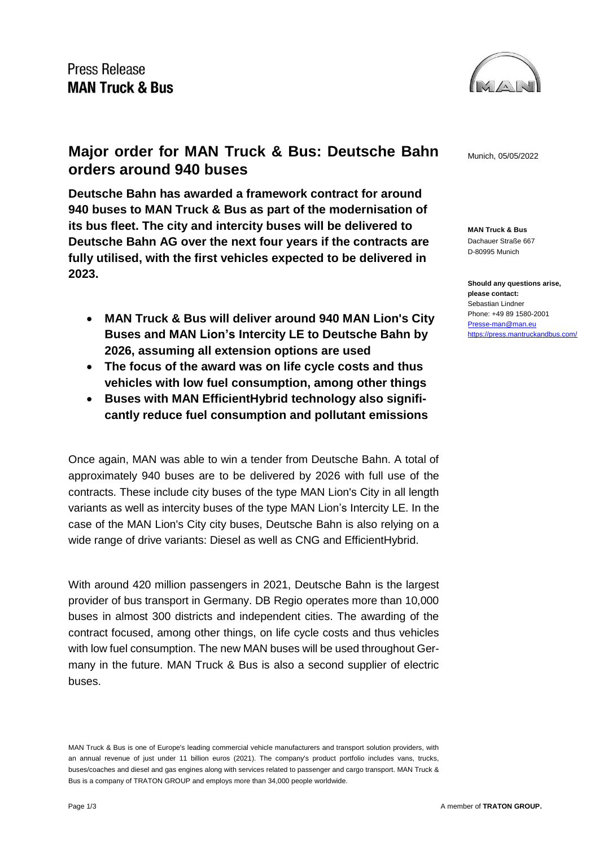

**MAN Truck & Bus** Dachauer Straße 667 D-80995 Munich

**Should any questions arise, please contact:** Sebastian Lindner Phone: +49 89 1580-2001 [Presse-man@man.eu](mailto:Presse-man@man.eu) <https://press.mantruckandbus.com/>

## **Major order for MAN Truck & Bus: Deutsche Bahn** Munich, 05/05/2022 **orders around 940 buses**

**Deutsche Bahn has awarded a framework contract for around 940 buses to MAN Truck & Bus as part of the modernisation of its bus fleet. The city and intercity buses will be delivered to Deutsche Bahn AG over the next four years if the contracts are fully utilised, with the first vehicles expected to be delivered in 2023.**

- **MAN Truck & Bus will deliver around 940 MAN Lion's City Buses and MAN Lion's Intercity LE to Deutsche Bahn by 2026, assuming all extension options are used**
- **The focus of the award was on life cycle costs and thus vehicles with low fuel consumption, among other things**
- **Buses with MAN EfficientHybrid technology also significantly reduce fuel consumption and pollutant emissions**

Once again, MAN was able to win a tender from Deutsche Bahn. A total of approximately 940 buses are to be delivered by 2026 with full use of the contracts. These include city buses of the type MAN Lion's City in all length variants as well as intercity buses of the type MAN Lion's Intercity LE. In the case of the MAN Lion's City city buses, Deutsche Bahn is also relying on a wide range of drive variants: Diesel as well as CNG and EfficientHybrid.

With around 420 million passengers in 2021, Deutsche Bahn is the largest provider of bus transport in Germany. DB Regio operates more than 10,000 buses in almost 300 districts and independent cities. The awarding of the contract focused, among other things, on life cycle costs and thus vehicles with low fuel consumption. The new MAN buses will be used throughout Germany in the future. MAN Truck & Bus is also a second supplier of electric buses.

MAN Truck & Bus is one of Europe's leading commercial vehicle manufacturers and transport solution providers, with an annual revenue of just under 11 billion euros (2021). The company's product portfolio includes vans, trucks, buses/coaches and diesel and gas engines along with services related to passenger and cargo transport. MAN Truck & Bus is a company of TRATON GROUP and employs more than 34,000 people worldwide.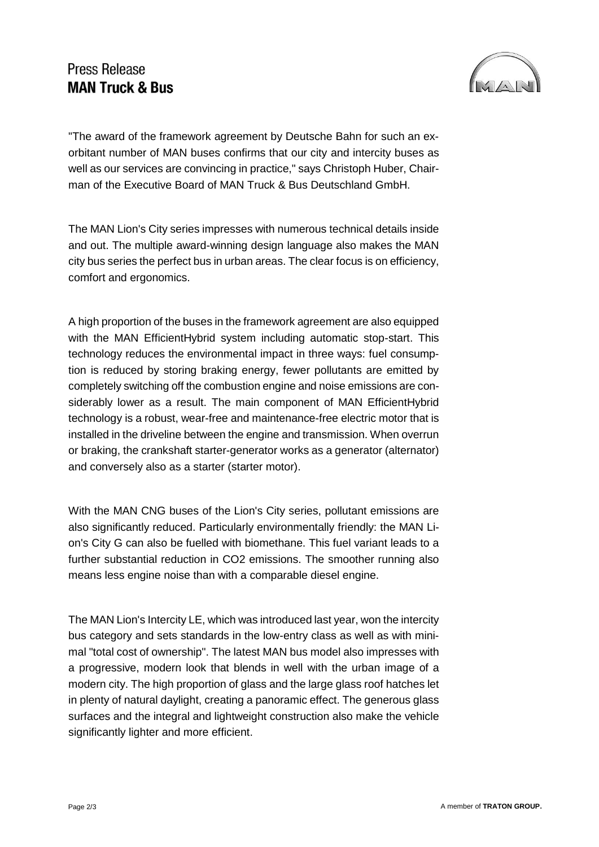## **Press Release MAN Truck & Bus**



"The award of the framework agreement by Deutsche Bahn for such an exorbitant number of MAN buses confirms that our city and intercity buses as well as our services are convincing in practice," says Christoph Huber, Chairman of the Executive Board of MAN Truck & Bus Deutschland GmbH.

The MAN Lion's City series impresses with numerous technical details inside and out. The multiple award-winning design language also makes the MAN city bus series the perfect bus in urban areas. The clear focus is on efficiency, comfort and ergonomics.

A high proportion of the buses in the framework agreement are also equipped with the MAN EfficientHybrid system including automatic stop-start. This technology reduces the environmental impact in three ways: fuel consumption is reduced by storing braking energy, fewer pollutants are emitted by completely switching off the combustion engine and noise emissions are considerably lower as a result. The main component of MAN EfficientHybrid technology is a robust, wear-free and maintenance-free electric motor that is installed in the driveline between the engine and transmission. When overrun or braking, the crankshaft starter-generator works as a generator (alternator) and conversely also as a starter (starter motor).

With the MAN CNG buses of the Lion's City series, pollutant emissions are also significantly reduced. Particularly environmentally friendly: the MAN Lion's City G can also be fuelled with biomethane. This fuel variant leads to a further substantial reduction in CO2 emissions. The smoother running also means less engine noise than with a comparable diesel engine.

The MAN Lion's Intercity LE, which was introduced last year, won the intercity bus category and sets standards in the low-entry class as well as with minimal "total cost of ownership". The latest MAN bus model also impresses with a progressive, modern look that blends in well with the urban image of a modern city. The high proportion of glass and the large glass roof hatches let in plenty of natural daylight, creating a panoramic effect. The generous glass surfaces and the integral and lightweight construction also make the vehicle significantly lighter and more efficient.